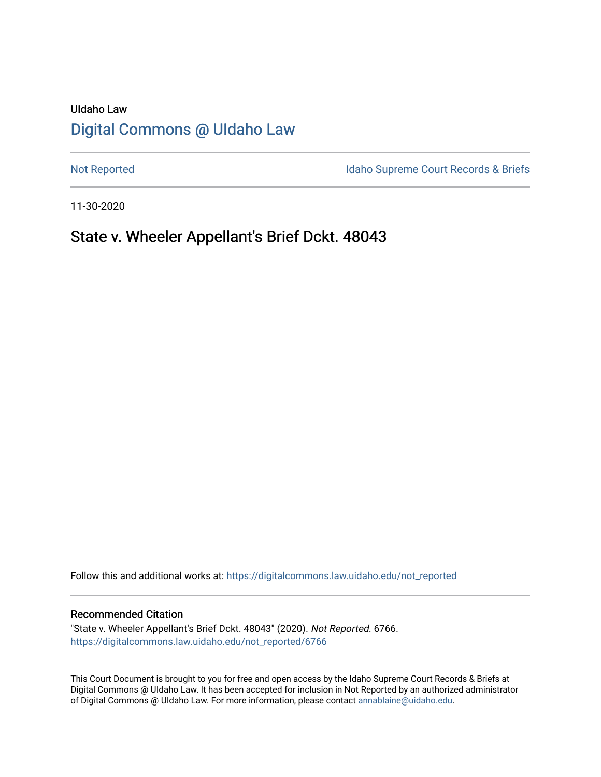# UIdaho Law [Digital Commons @ UIdaho Law](https://digitalcommons.law.uidaho.edu/)

[Not Reported](https://digitalcommons.law.uidaho.edu/not_reported) **Idaho Supreme Court Records & Briefs** 

11-30-2020

# State v. Wheeler Appellant's Brief Dckt. 48043

Follow this and additional works at: [https://digitalcommons.law.uidaho.edu/not\\_reported](https://digitalcommons.law.uidaho.edu/not_reported?utm_source=digitalcommons.law.uidaho.edu%2Fnot_reported%2F6766&utm_medium=PDF&utm_campaign=PDFCoverPages) 

#### Recommended Citation

"State v. Wheeler Appellant's Brief Dckt. 48043" (2020). Not Reported. 6766. [https://digitalcommons.law.uidaho.edu/not\\_reported/6766](https://digitalcommons.law.uidaho.edu/not_reported/6766?utm_source=digitalcommons.law.uidaho.edu%2Fnot_reported%2F6766&utm_medium=PDF&utm_campaign=PDFCoverPages)

This Court Document is brought to you for free and open access by the Idaho Supreme Court Records & Briefs at Digital Commons @ UIdaho Law. It has been accepted for inclusion in Not Reported by an authorized administrator of Digital Commons @ UIdaho Law. For more information, please contact [annablaine@uidaho.edu](mailto:annablaine@uidaho.edu).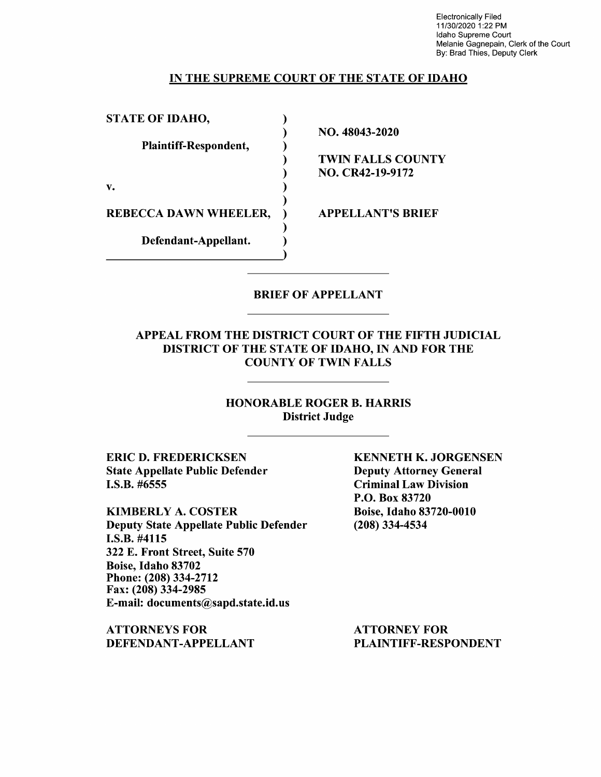Electronically Filed 11/30/2020 1 :22 PM Idaho Supreme Court Melanie Gagnepain, Clerk of the Court By: Brad Thies, Deputy Clerk

### IN THE SUPREME COURT OF THE STATE OF IDAHO

| <b>STATE OF IDAHO,</b>       |                          |
|------------------------------|--------------------------|
|                              | NO. 48043-2020           |
| Plaintiff-Respondent,        |                          |
|                              | <b>TWIN FALLS COUNTY</b> |
|                              | <b>NO. CR42-19-9172</b>  |
| v.                           |                          |
|                              |                          |
| <b>REBECCA DAWN WHEELER,</b> | <b>APPELLANT'S BRIEF</b> |
|                              |                          |
| Defendant-Appellant.         |                          |
|                              |                          |

### BRIEF OF APPELLANT

### APPEAL FROM THE DISTRICT COURT OF THE FIFTH JUDICIAL DISTRICT OF THE STATE OF IDAHO, IN AND FOR THE COUNTY OF TWIN FALLS

## HONORABLE ROGER B. HARRIS District Judge

ERIC D. FREDERICKSEN State Appellate Public Defender I.S.B. #6555

KIMBERLY A. COSTER Deputy State Appellate Public Defender I.S.B. #4115 322 E. Front Street, Suite 570 Boise, Idaho 83702 Phone:(208)334-2712 Fax: (208) 334-2985 E-mail: documents@sapd.state.id.us

ATTORNEYS FOR DEFENDANT-APPELLANT KENNETH K. JORGENSEN Deputy Attorney General Criminal Law Division P.O. Box 83720 Boise, Idaho 83720-0010 (208) 334-4534

ATTORNEY FOR PLAINTIFF-RESPONDENT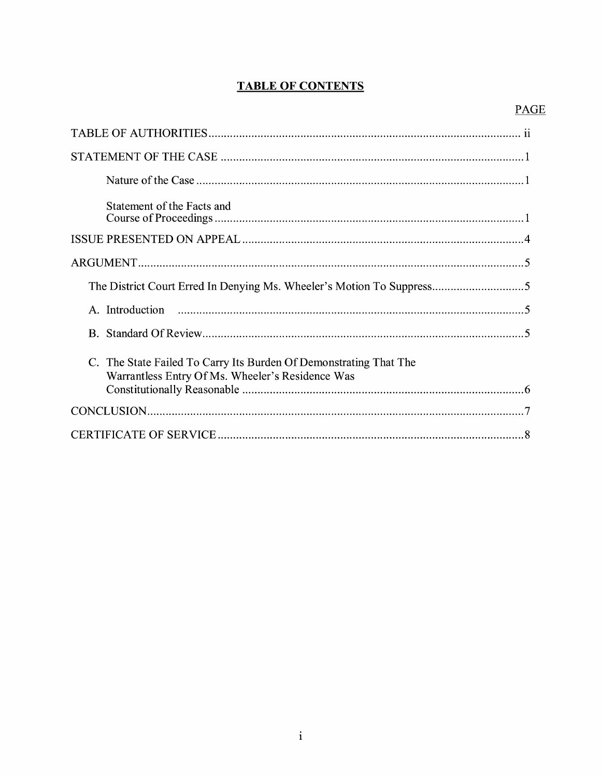# **TABLE OF CONTENTS**

# **PAGE**

| Statement of the Facts and                                                                                            |
|-----------------------------------------------------------------------------------------------------------------------|
|                                                                                                                       |
|                                                                                                                       |
|                                                                                                                       |
|                                                                                                                       |
|                                                                                                                       |
| C. The State Failed To Carry Its Burden Of Demonstrating That The<br>Warrantless Entry Of Ms. Wheeler's Residence Was |
|                                                                                                                       |
|                                                                                                                       |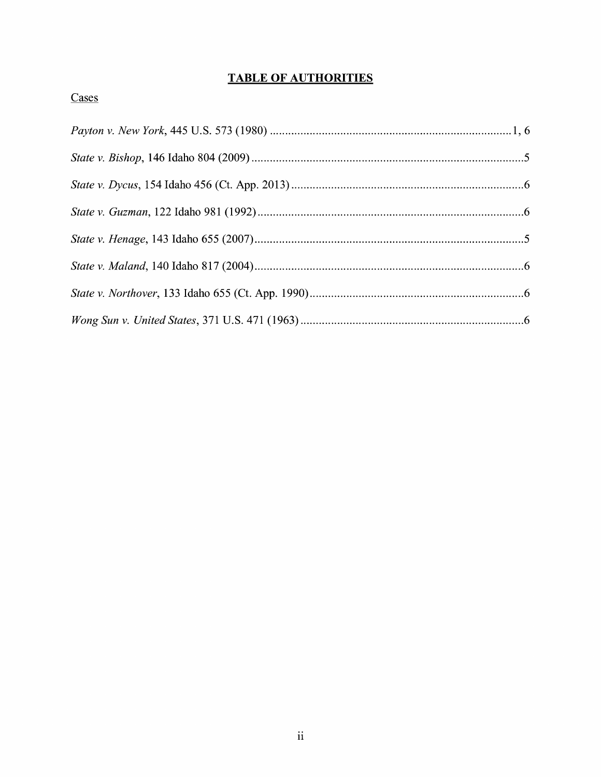# **TABLE OF AUTHORITIES**

## Cases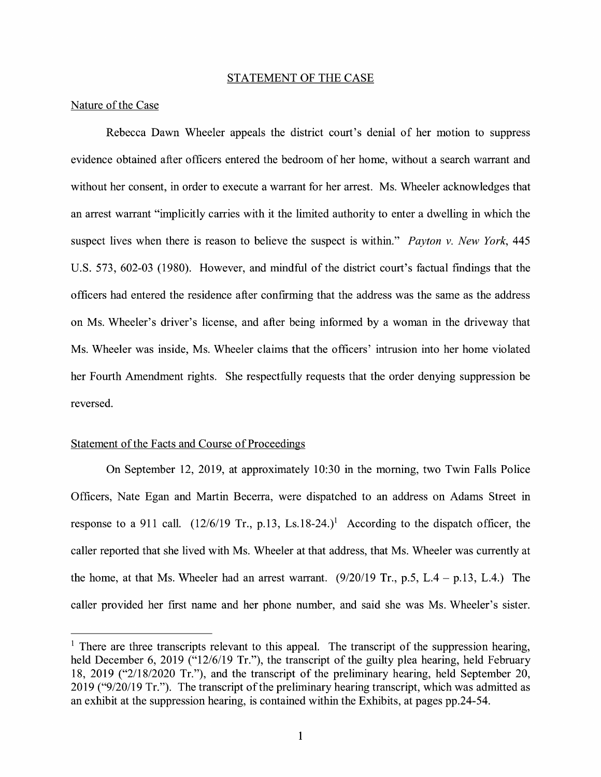#### STATEMENT OF THE CASE

### Nature of the Case

Rebecca Dawn Wheeler appeals the district court's denial of her motion to suppress evidence obtained after officers entered the bedroom of her home, without a search warrant and without her consent, in order to execute a warrant for her arrest. Ms. Wheeler acknowledges that an arrest warrant "implicitly carries with it the limited authority to enter a dwelling in which the suspect lives when there is reason to believe the suspect is within." *Payton v. New York,* 445 U.S. 573, 602-03 (1980). However, and mindful of the district court's factual fmdings that the officers had entered the residence after confirming that the address was the same as the address on Ms. Wheeler's driver's license, and after being informed by a woman in the driveway that Ms. Wheeler was inside, Ms. Wheeler claims that the officers' intrusion into her home violated her Fourth Amendment rights. She respectfully requests that the order denying suppression be reversed.

#### Statement of the Facts and Course of Proceedings

On September 12, 2019, at approximately 10:30 in the morning, two Twin Falls Police Officers, Nate Egan and Martin Becerra, were dispatched to an address on Adams Street in response to a 911 call. (12/6/19 Tr., p.13, Ls.18-24.)<sup>1</sup> According to the dispatch officer, the caller reported that she lived with Ms. Wheeler at that address, that Ms. Wheeler was currently at the home, at that Ms. Wheeler had an arrest warrant.  $(9/20/19$  Tr., p.5, L.4 - p.13, L.4.) The caller provided her first name and her phone number, and said she was Ms. Wheeler's sister.

 $1$  There are three transcripts relevant to this appeal. The transcript of the suppression hearing, held December 6, 2019 ("12/6/19 Tr."), the transcript of the guilty plea hearing, held February 18, 2019 ("2/18/2020 Tr."), and the transcript of the preliminary hearing, held September 20, 2019 ("9/20/19 Tr."). The transcript of the preliminary hearing transcript, which was admitted as an exhibit at the suppression hearing, is contained within the Exhibits, at pages pp.24-54.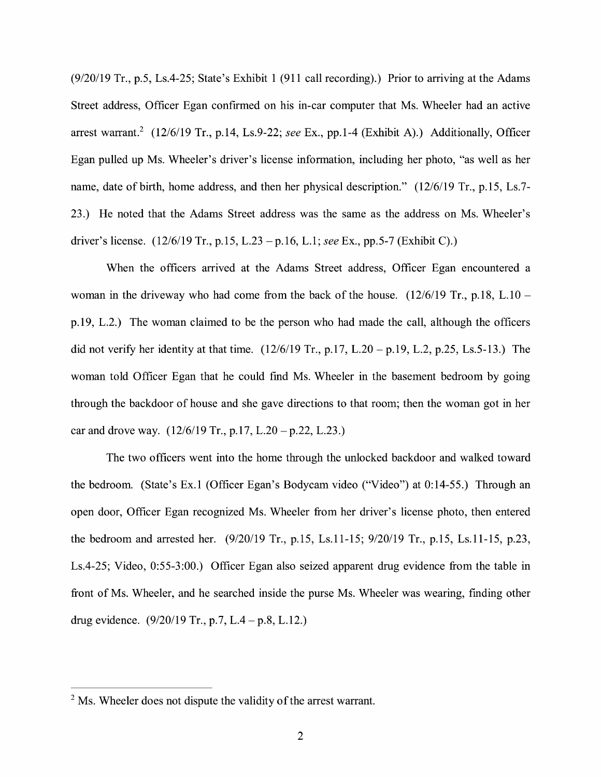(9/20/19 Tr., p.5, Ls.4-25; State's Exhibit 1 (911 call recording).) Prior to arriving at the Adams Street address, Officer Egan confirmed on his in-car computer that Ms. Wheeler had an active arrest warrant.<sup>2</sup> (12/6/19 Tr., p.14, Ls.9-22; *see* Ex., pp.1-4 (Exhibit A).) Additionally, Officer Egan pulled up Ms. Wheeler's driver's license information, including her photo, "as well as her name, date of birth, home address, and then her physical description." (12/6/19 Tr., p.15, Ls.7-23.) He noted that the Adams Street address was the same as the address on Ms. Wheeler's driver's license. (12/6/19 Tr., p.15, L.23 -p.16, L.1; *see* Ex., pp.5-7 (Exhibit C).)

When the officers arrived at the Adams Street address, Officer Egan encountered a woman in the driveway who had come from the back of the house.  $(12/6/19)$  Tr., p.18, L.10 p.19, L.2.) The woman claimed to be the person who had made the call, although the officers did not verify her identity at that time.  $(12/6/19 \text{ Tr}, p.17, L.20 - p.19, L.2, p.25, Ls.5-13.)$  The woman told Officer Egan that he could find Ms. Wheeler in the basement bedroom by going through the backdoor of house and she gave directions to that room; then the woman got in her car and drove way.  $(12/6/19 \text{ Tr.}, \text{p.17}, \text{L.20} - \text{p.22}, \text{L.23.})$ 

The two officers went into the home through the unlocked backdoor and walked toward the bedroom. (State's Ex.I (Officer Egan's Bodycam video ("Video") at 0:14-55.) Through an open door, Officer Egan recognized Ms. Wheeler from her driver's license photo, then entered the bedroom and arrested her. (9/20/19 Tr., p.15, Ls.11-15; 9/20/19 Tr., p.15, Ls.11-15, p.23, Ls.4-25; Video, 0:55-3:00.) Officer Egan also seized apparent drug evidence from the table in front of Ms. Wheeler, and he searched inside the purse Ms. Wheeler was wearing, finding other drug evidence.  $(9/20/19 \text{ Tr.}, p.7, L.4-p.8, L.12.)$ 

 $<sup>2</sup>$  Ms. Wheeler does not dispute the validity of the arrest warrant.</sup>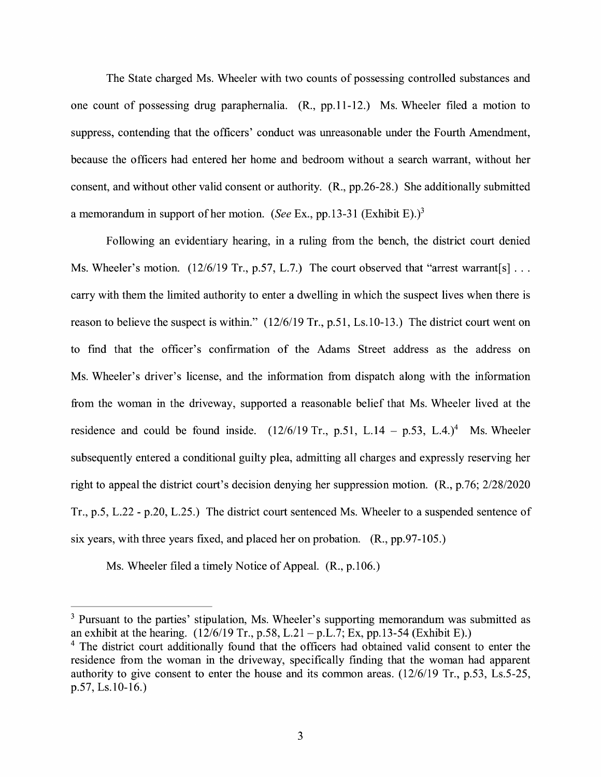The State charged Ms. Wheeler with two counts of possessing controlled substances and one count of possessing drug paraphernalia. (R., pp.11-12.) Ms. Wheeler filed a motion to suppress, contending that the officers' conduct was unreasonable under the Fourth Amendment, because the officers had entered her home and bedroom without a search warrant, without her consent, and without other valid consent or authority. **(R.,** pp.26-28.) She additionally submitted a memorandum in support of her motion. *(See Ex., pp.13-31 (Exhibit E).)*<sup>3</sup>

Following an evidentiary hearing, in a ruling from the bench, the district court denied Ms. Wheeler's motion. (12/6/19 Tr., p.57, L.7.) The court observed that "arrest warrant[s]... carry with them the limited authority to enter a dwelling in which the suspect lives when there is reason to believe the suspect is within." (12/6/19 Tr., p.51, Ls.10-13.) The district court went on to find that the officer's confirmation of the Adams Street address as the address on Ms. Wheeler's driver's license, and the information from dispatch along with the information from the woman in the driveway, supported a reasonable belief that Ms. Wheeler lived at the residence and could be found inside.  $(12/6/19 \text{ Tr.}, \text{ p.51}, \text{ L.14} - \text{ p.53}, \text{ L.4.})^4$  Ms. Wheeler subsequently entered a conditional guilty plea, admitting all charges and expressly reserving her right to appeal the district court's decision denying her suppression motion. (R., p.76; 2/28/2020 Tr., p.5, L.22 - p.20, L.25.) The district court sentenced Ms. Wheeler to a suspended sentence of six years, with three years fixed, and placed her on probation. (R., pp.97-105.)

Ms. Wheeler filed a timely Notice of Appeal. (R., p.106.)

<sup>3</sup> Pursuant to the parties' stipulation, Ms. Wheeler's supporting memorandum was submitted as an exhibit at the hearing.  $(12/6/19 \text{ Tr.}, p.58, L.21 - p.L.7; Ex, pp.13-54 \text{ (Exhibit E)}.)$ 

<sup>&</sup>lt;sup>4</sup> The district court additionally found that the officers had obtained valid consent to enter the residence from the woman in the driveway, specifically finding that the woman had apparent authority to give consent to enter the house and its common areas. (12/6/19 Tr., p.53, Ls.5-25, p.57, Ls.10-16.)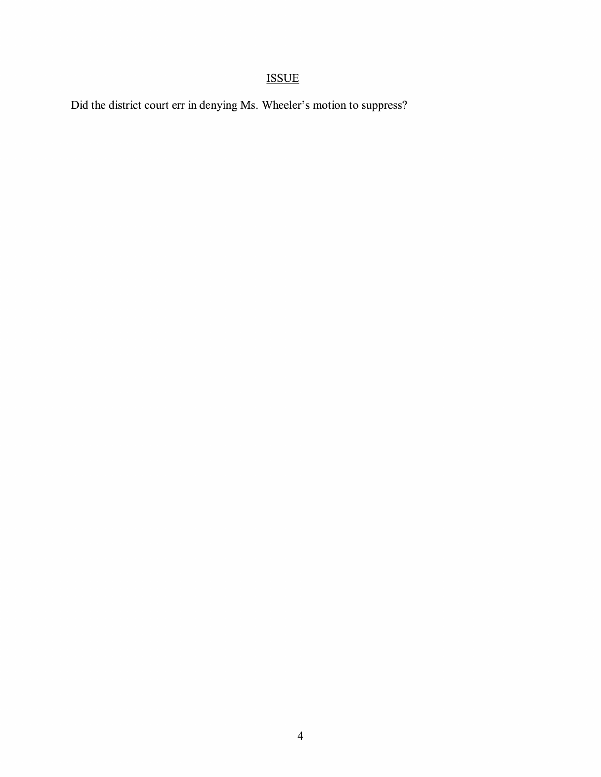# ISSUE

Did the district court err in denying Ms. Wheeler's motion to suppress?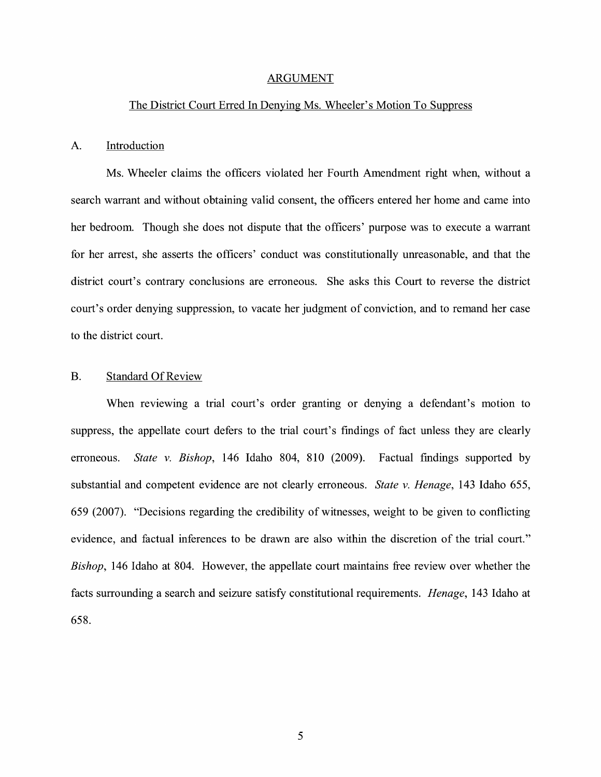#### ARGUMENT

### The District Court Erred In Denying Ms. Wheeler's Motion To Suppress

#### A. Introduction

Ms. Wheeler claims the officers violated her Fourth Amendment right when, without a search warrant and without obtaining valid consent, the officers entered her home and came into her bedroom. Though she does not dispute that the officers' purpose was to execute a warrant for her arrest, she asserts the officers' conduct was constitutionally unreasonable, and that the district court's contrary conclusions are erroneous. She asks this Court to reverse the district court's order denying suppression, to vacate her judgment of conviction, and to remand her case to the district court.

#### B. Standard Of Review

When reviewing a trial court's order granting or denying a defendant's motion to suppress, the appellate court defers to the trial court's findings of fact unless they are clearly erroneous. *State v. Bishop,* 146 Idaho 804, 810 (2009). Factual findings supported by substantial and competent evidence are not clearly erroneous. *State v. Henage,* 143 Idaho 655, 659 (2007). "Decisions regarding the credibility of witnesses, weight to be given to conflicting evidence, and factual inferences to be drawn are also within the discretion of the trial court." *Bishop,* 146 Idaho at 804. However, the appellate court maintains free review over whether the facts surrounding a search and seizure satisfy constitutional requirements. *Henage,* 143 Idaho at 658.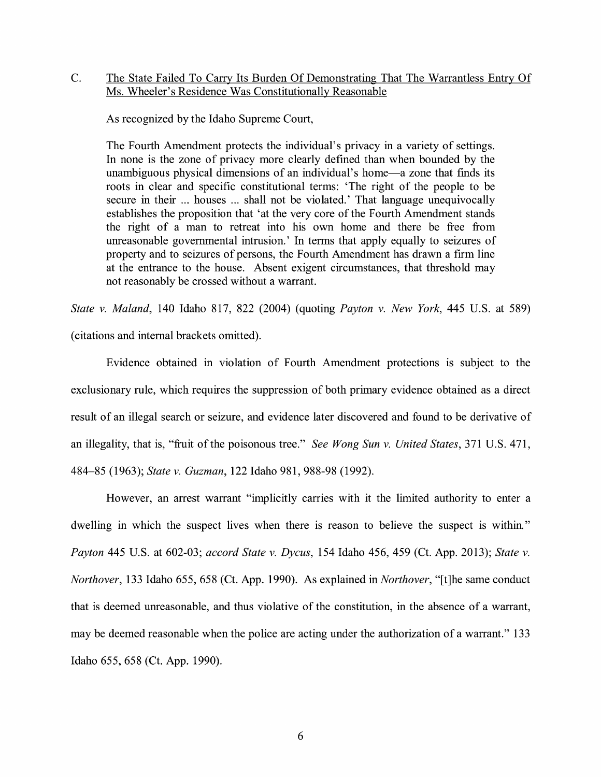## C. The State Failed To Carry Its Burden Of Demonstrating That The Warrantless Entry Of Ms. Wheeler's Residence Was Constitutionally Reasonable

As recognized by the Idaho Supreme Court,

The Fourth Amendment protects the individual's privacy in a variety of settings. In none is the zone of privacy more clearly defined than when bounded by the unambiguous physical dimensions of an individual's home—a zone that finds its roots in clear and specific constitutional terms: 'The right of the people to be secure in their ... houses ... shall not be violated.' That language unequivocally establishes the proposition that 'at the very core of the Fourth Amendment stands the right of a man to retreat into his own home and there be free from unreasonable governmental intrusion.' In terms that apply equally to seizures of property and to seizures of persons, the Fourth Amendment has drawn a firm line at the entrance to the house. Absent exigent circumstances, that threshold may not reasonably be crossed without a warrant.

*State v. Maland,* 140 Idaho 817, 822 (2004) (quoting *Payton v. New York,* 445 U.S. at 589) ( citations and internal brackets omitted).

Evidence obtained in violation of Fourth Amendment protections is subject to the exclusionary rule, which requires the suppression of both primary evidence obtained as a direct result of an illegal search or seizure, and evidence later discovered and found to be derivative of an illegality, that is, "fruit of the poisonous tree." *See Wong Sun v. United States,* 371 U.S. 471, 484-85 (1963); *State v. Guzman,* 122 Idaho 981, 988-98 (1992).

However, an arrest warrant "implicitly carries with it the limited authority to enter a dwelling in which the suspect lives when there is reason to believe the suspect is within." *Payton* 445 U.S. at 602-03; *accord State v. Dycus,* 154 Idaho 456, 459 (Ct. App. 2013); *State v. Northover,* 133 Idaho 655, 658 (Ct. App. 1990). As explained in *Northover,* "[t]he same conduct that is deemed unreasonable, and thus violative of the constitution, in the absence of a warrant, may be deemed reasonable when the police are acting under the authorization of a warrant." 133 Idaho 655, 658 (Ct. App. 1990).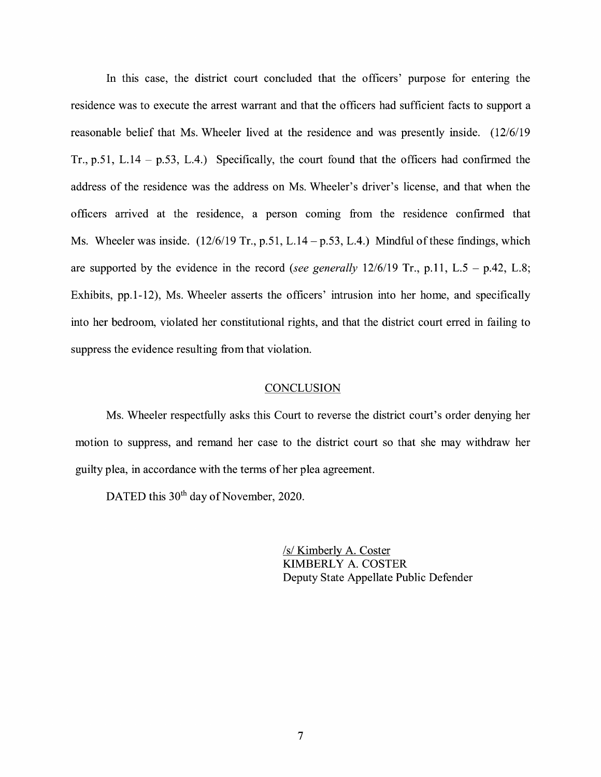In this case, the district court concluded that the officers' purpose for entering the residence was to execute the arrest warrant and that the officers had sufficient facts to support a reasonable belief that Ms. Wheeler lived at the residence and was presently inside. (12/6/19 Tr., p.51, L.14 - p.53, L.4.) Specifically, the court found that the officers had confirmed the address of the residence was the address on Ms. Wheeler's driver's license, and that when the officers arrived at the residence, a person coming from the residence confirmed that Ms. Wheeler was inside.  $(12/6/19 \text{ Tr.}, \text{p.51}, L.14 - \text{p.53}, L.4.)$  Mindful of these findings, which are supported by the evidence in the record *(see generally* 12/6/19 Tr., p.11, L.5 - p.42, L.8; Exhibits, pp.1-12), Ms. Wheeler asserts the officers' intrusion into her home, and specifically into her bedroom, violated her constitutional rights, and that the district court erred in failing to suppress the evidence resulting from that violation.

#### **CONCLUSION**

Ms. Wheeler respectfully asks this Court to reverse the district court's order denying her motion to suppress, and remand her case to the district court so that she may withdraw her guilty plea, in accordance with the terms of her plea agreement.

DATED this 30<sup>th</sup> day of November, 2020.

/s/ Kimberly A. Coster KIMBERLY A. COSTER Deputy State Appellate Public Defender